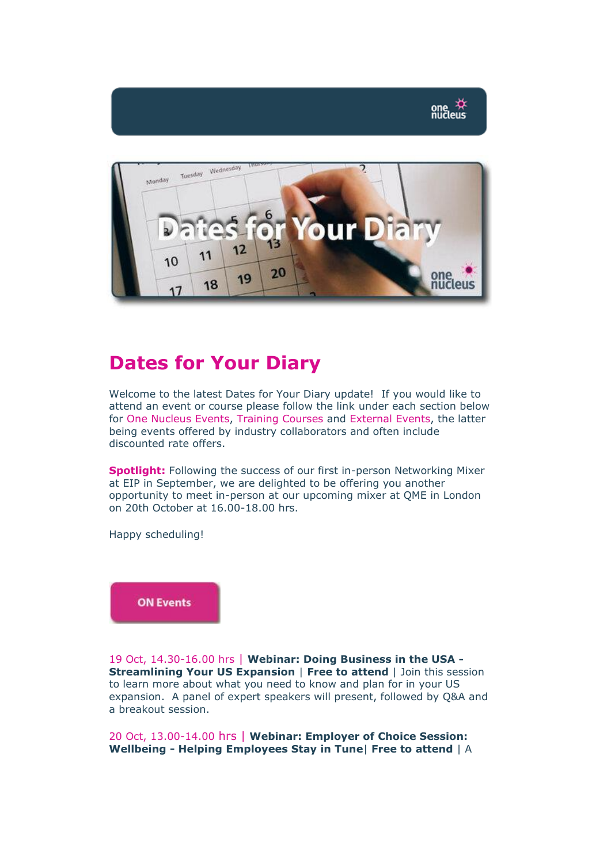

## **Dates for Your Diary**

Welcome to the latest Dates for Your Diary update! If you would like to attend an event or course please follow the link under each section below for One Nucleus Events, Training Courses and External Events, the latter being events offered by industry collaborators and often include discounted rate offers.

**Spotlight: Following the success of our first in-person Networking Mixer** at EIP in September, we are delighted to be offering you another opportunity to meet in-person at our upcoming mixer at QME in London on 20th October at 16.00-18.00 hrs.

Happy scheduling!

**ON Events** 

19 Oct, 14.30-16.00 hrs | **Webinar: Doing Business in the USA - Streamlining Your US Expansion** | **Free to attend** | Join this session to learn more about what you need to know and plan for in your US expansion. A panel of expert speakers will present, followed by Q&A and a breakout session.

20 Oct, 13.00-14.00 hrs | **Webinar: Employer of Choice Session: Wellbeing - Helping Employees Stay in Tune**| **Free to attend** | A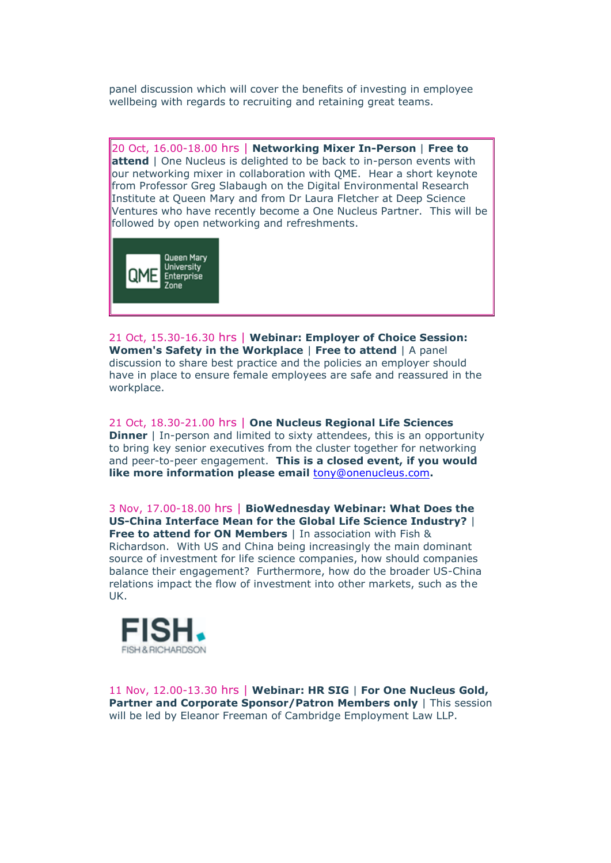panel discussion which will cover the benefits of investing in employee wellbeing with regards to recruiting and retaining great teams.

20 Oct, 16.00-18.00 hrs | **Networking Mixer In-Person** | **Free to attend** | One Nucleus is delighted to be back to in-person events with our networking mixer in collaboration with QME. Hear a short keynote from Professor Greg Slabaugh on the Digital Environmental Research Institute at Queen Mary and from Dr Laura Fletcher at Deep Science Ventures who have recently become a One Nucleus Partner. This will be followed by open networking and refreshments.



21 Oct, 15.30-16.30 hrs | **Webinar: Employer of Choice Session: Women's Safety in the Workplace** | **Free to attend** | A panel discussion to share best practice and the policies an employer should have in place to ensure female employees are safe and reassured in the workplace.

21 Oct, 18.30-21.00 hrs | **One Nucleus Regional Life Sciences Dinner** | In-person and limited to sixty attendees, this is an opportunity to bring key senior executives from the cluster together for networking and peer-to-peer engagement. **This is a closed event, if you would like more information please email** [tony@onenucleus.com](mailto:tony@onenucleus.com)**.**

3 Nov, 17.00-18.00 hrs | **BioWednesday Webinar: What Does the US-China Interface Mean for the Global Life Science Industry?** | **Free to attend for ON Members** | In association with Fish &

Richardson. With US and China being increasingly the main dominant source of investment for life science companies, how should companies balance their engagement? Furthermore, how do the broader US-China relations impact the flow of investment into other markets, such as the UK.



11 Nov, 12.00-13.30 hrs | **Webinar: HR SIG** | **For One Nucleus Gold, Partner and Corporate Sponsor/Patron Members only** | This session will be led by Eleanor Freeman of Cambridge Employment Law LLP.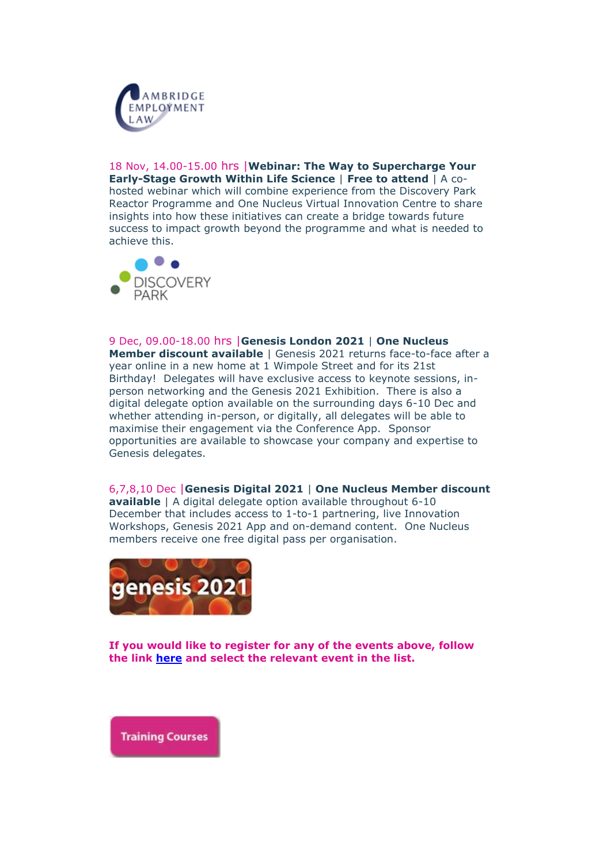

18 Nov, 14.00-15.00 hrs |**Webinar: The Way to Supercharge Your Early-Stage Growth Within Life Science** | **Free to attend** | A cohosted webinar which will combine experience from the Discovery Park Reactor Programme and One Nucleus Virtual Innovation Centre to share insights into how these initiatives can create a bridge towards future success to impact growth beyond the programme and what is needed to achieve this.



9 Dec, 09.00-18.00 hrs |**Genesis London 2021** | **One Nucleus Member discount available** | Genesis 2021 returns face-to-face after a year online in a new home at 1 Wimpole Street and for its 21st Birthday! Delegates will have exclusive access to keynote sessions, inperson networking and the Genesis 2021 Exhibition. There is also a digital delegate option available on the surrounding days 6-10 Dec and whether attending in-person, or digitally, all delegates will be able to maximise their engagement via the Conference App. Sponsor opportunities are available to showcase your company and expertise to Genesis delegates.

6,7,8,10 Dec |**Genesis Digital 2021** | **One Nucleus Member discount available** | A digital delegate option available throughout 6-10 December that includes access to 1-to-1 partnering, live Innovation Workshops, Genesis 2021 App and on-demand content. One Nucleus members receive one free digital pass per organisation.



**If you would like to register for any of the events above, follow the link [here](https://onenucleus.com/sites/all/modules/civicrm/extern/url.php?u=2101&qid=1299293) and select the relevant event in the list.**

**Training Courses**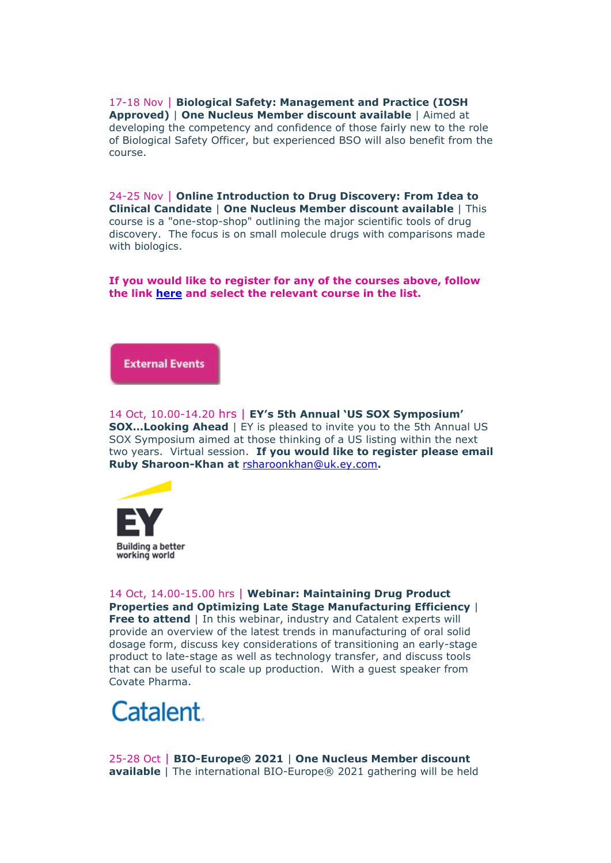17-18 Nov | **Biological Safety: Management and Practice (IOSH Approved)** | **One Nucleus Member discount available** | Aimed at developing the competency and confidence of those fairly new to the role of Biological Safety Officer, but experienced BSO will also benefit from the course.

24-25 Nov | **Online Introduction to Drug Discovery: From Idea to Clinical Candidate** | **One Nucleus Member discount available** | This course is a "one-stop-shop" outlining the major scientific tools of drug discovery. The focus is on small molecule drugs with comparisons made with biologics.

**If you would like to register for any of the courses above, follow the link [here](https://onenucleus.com/sites/all/modules/civicrm/extern/url.php?u=2102&qid=1299293) and select the relevant course in the list.** 

**External Events** 

14 Oct, 10.00-14.20 hrs | **EY's 5th Annual 'US SOX Symposium' SOX...Looking Ahead** | EY is pleased to invite you to the 5th Annual US SOX Symposium aimed at those thinking of a US listing within the next two years. Virtual session. **If you would like to register please email Ruby Sharoon-Khan at** [rsharoonkhan@uk.ey.com](mailto:rsharoonkhan@uk.ey.com)**.**



14 Oct, 14.00-15.00 hrs | **Webinar: Maintaining Drug Product Properties and Optimizing Late Stage Manufacturing Efficiency** | **Free to attend** | In this webinar, industry and Catalent experts will provide an overview of the latest trends in manufacturing of oral solid dosage form, discuss key considerations of transitioning an early-stage product to late-stage as well as technology transfer, and discuss tools that can be useful to scale up production. With a guest speaker from Covate Pharma.

## Catalent.

25-28 Oct | **BIO-Europe® 2021** | **One Nucleus Member discount available** | The international BIO-Europe® 2021 gathering will be held